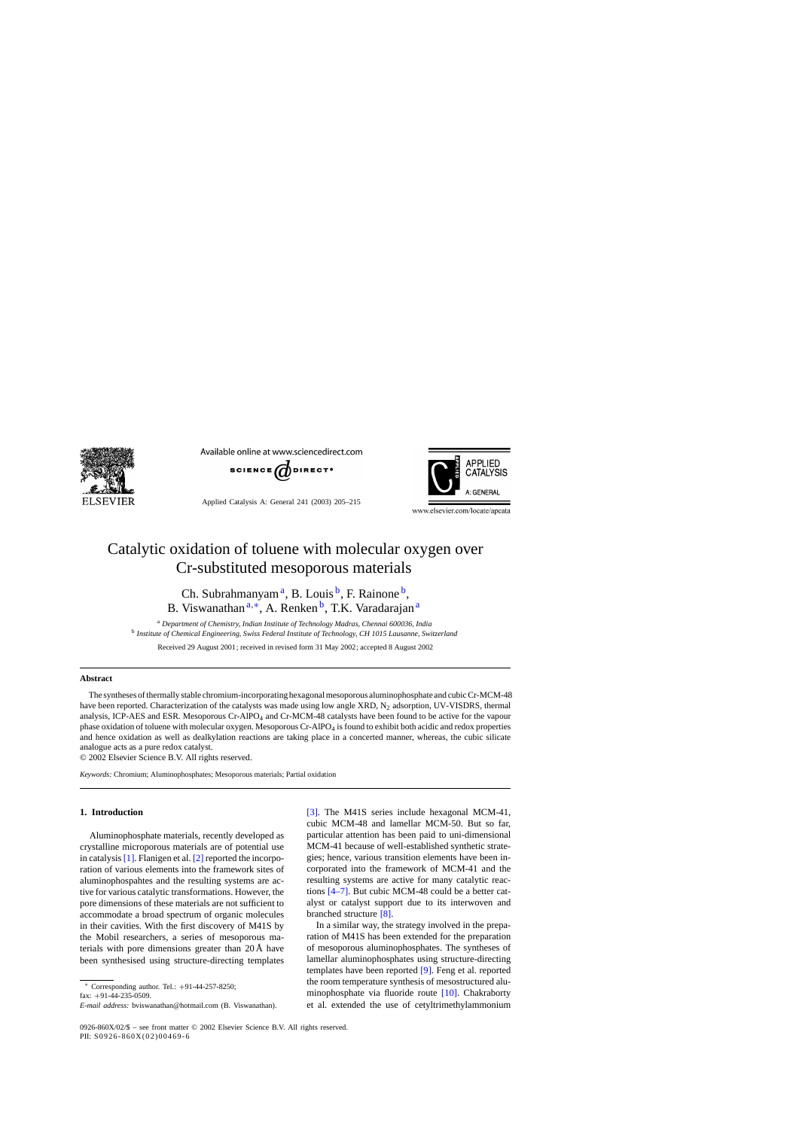

Available online at www.sciencedirect.com



Applied Catalysis A: General 241 (2003) 205–215



www.elsevier.com/locate/apcata

# Catalytic oxidation of toluene with molecular oxygen over Cr-substituted mesoporous materials

Ch. Subrahmanyam<sup>a</sup>, B. Louis<sup>b</sup>, F. Rainone<sup>b</sup>, B. Viswanathan  $a^*$ , A. Renken<sup>b</sup>, T.K. Varadarajan  $a^*$ 

<sup>a</sup> *Department of Chemistry, Indian Institute of Technology Madras, Chennai 600036, India* <sup>b</sup> *Institute of Chemical Engineering, Swiss Federal Institute of Technology, CH 1015 Lausanne, Switzerland*

Received 29 August 2001; received in revised form 31 May 2002; accepted 8 August 2002

#### **Abstract**

The syntheses of thermally stable chromium-incorporating hexagonal mesoporous aluminophosphate and cubic Cr-MCM-48 have been reported. Characterization of the catalysts was made using low angle XRD,  $N_2$  adsorption, UV-VISDRS, thermal analysis, ICP-AES and ESR. Mesoporous Cr-AlPO4 and Cr-MCM-48 catalysts have been found to be active for the vapour phase oxidation of toluene with molecular oxygen. Mesoporous Cr-AlPO4 is found to exhibit both acidic and redox properties and hence oxidation as well as dealkylation reactions are taking place in a concerted manner, whereas, the cubic silicate analogue acts as a pure redox catalyst.

© 2002 Elsevier Science B.V. All rights reserved.

*Keywords:* Chromium; Aluminophosphates; Mesoporous materials; Partial oxidation

#### **1. Introduction**

Aluminophosphate materials, recently developed as crystalline microporous materials are of potential use in catalysis[\[1\]. F](#page-9-0)lanigen et al. [\[2\]](#page-9-0) reported the incorporation of various elements into the framework sites of aluminophospahtes and the resulting systems are active for various catalytic transformations. However, the pore dimensions of these materials are not sufficient to accommodate a broad spectrum of organic molecules in their cavities. With the first discovery of M41S by the Mobil researchers, a series of mesoporous materials with pore dimensions greater than 20 Å have been synthesised using structure-directing templates

Corresponding author. Tel.:  $+91-44-257-8250$ ;

fax: +91-44-235-0509.

[\[3\].](#page-9-0) The M41S series include hexagonal MCM-41, cubic MCM-48 and lamellar MCM-50. But so far, particular attention has been paid to uni-dimensional MCM-41 because of well-established synthetic strategies; hence, various transition elements have been incorporated into the framework of MCM-41 and the resulting systems are active for many catalytic reactions [\[4–7\].](#page-9-0) But cubic MCM-48 could be a better catalyst or catalyst support due to its interwoven and branched structure [\[8\].](#page-9-0)

In a similar way, the strategy involved in the preparation of M41S has been extended for the preparation of mesoporous aluminophosphates. The syntheses of lamellar aluminophosphates using structure-directing templates have been reported [\[9\].](#page-9-0) Feng et al. reported the room temperature synthesis of mesostructured aluminophosphate via fluoride route [\[10\].](#page-9-0) Chakraborty et al. extended the use of cetyltrimethylammonium

*E-mail address:* bviswanathan@hotmail.com (B. Viswanathan).

<sup>0926-860</sup>X/02/\$ – see front matter © 2002 Elsevier Science B.V. All rights reserved. PII: S0926-860X(02)00469-6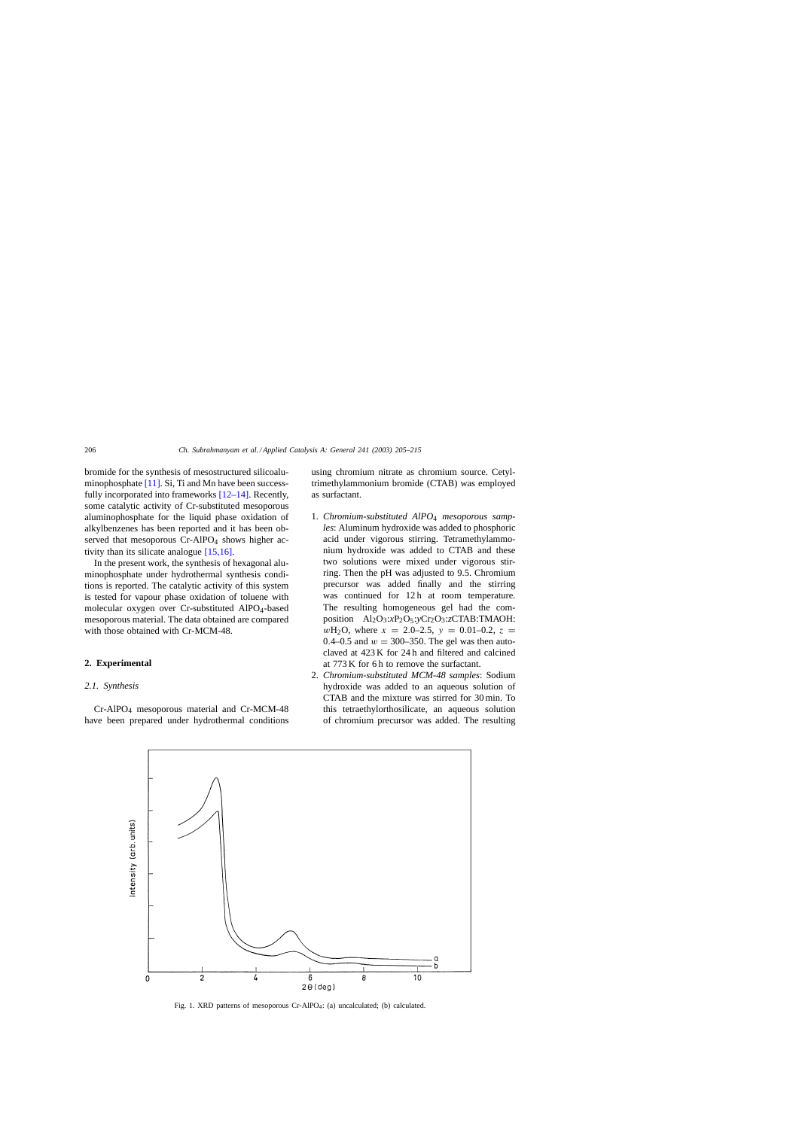<span id="page-1-0"></span>bromide for the synthesis of mesostructured silicoalu-minophosphate [\[11\]. S](#page-9-0)i, Ti and Mn have been successfully incorporated into frameworks [\[12–14\].](#page-9-0) Recently, some catalytic activity of Cr-substituted mesoporous aluminophosphate for the liquid phase oxidation of alkylbenzenes has been reported and it has been observed that mesoporous  $Cr-AIPO<sub>4</sub>$  shows higher activity than its silicate analogue [\[15,16\].](#page-9-0)

In the present work, the synthesis of hexagonal aluminophosphate under hydrothermal synthesis conditions is reported. The catalytic activity of this system is tested for vapour phase oxidation of toluene with molecular oxygen over Cr-substituted AlPO4-based mesoporous material. The data obtained are compared with those obtained with Cr-MCM-48.

## **2. Experimental**

#### *2.1. Synthesis*

Cr-AlPO4 mesoporous material and Cr-MCM-48 have been prepared under hydrothermal conditions using chromium nitrate as chromium source. Cetyltrimethylammonium bromide (CTAB) was employed as surfactant.

- 1. *Chromium-substituted AlPO*<sup>4</sup> *mesoporous samples*: Aluminum hydroxide was added to phosphoric acid under vigorous stirring. Tetramethylammonium hydroxide was added to CTAB and these two solutions were mixed under vigorous stirring. Then the pH was adjusted to 9.5. Chromium precursor was added finally and the stirring was continued for 12h at room temperature. The resulting homogeneous gel had the composition Al2O3:*x*P2O5:*y*Cr2O3:*z*CTAB:TMAOH:  $wH_2O$ , where  $x = 2.0-2.5$ ,  $y = 0.01-0.2$ ,  $z =$ 0.4–0.5 and  $w = 300-350$ . The gel was then autoclaved at 423 K for 24 h and filtered and calcined at 773 K for 6 h to remove the surfactant.
- 2. *Chromium-substituted MCM-48 samples*: Sodium hydroxide was added to an aqueous solution of CTAB and the mixture was stirred for 30 min. To this tetraethylorthosilicate, an aqueous solution of chromium precursor was added. The resulting



Fig. 1. XRD patterns of mesoporous Cr-AlPO<sub>4</sub>: (a) uncalculated; (b) calculated.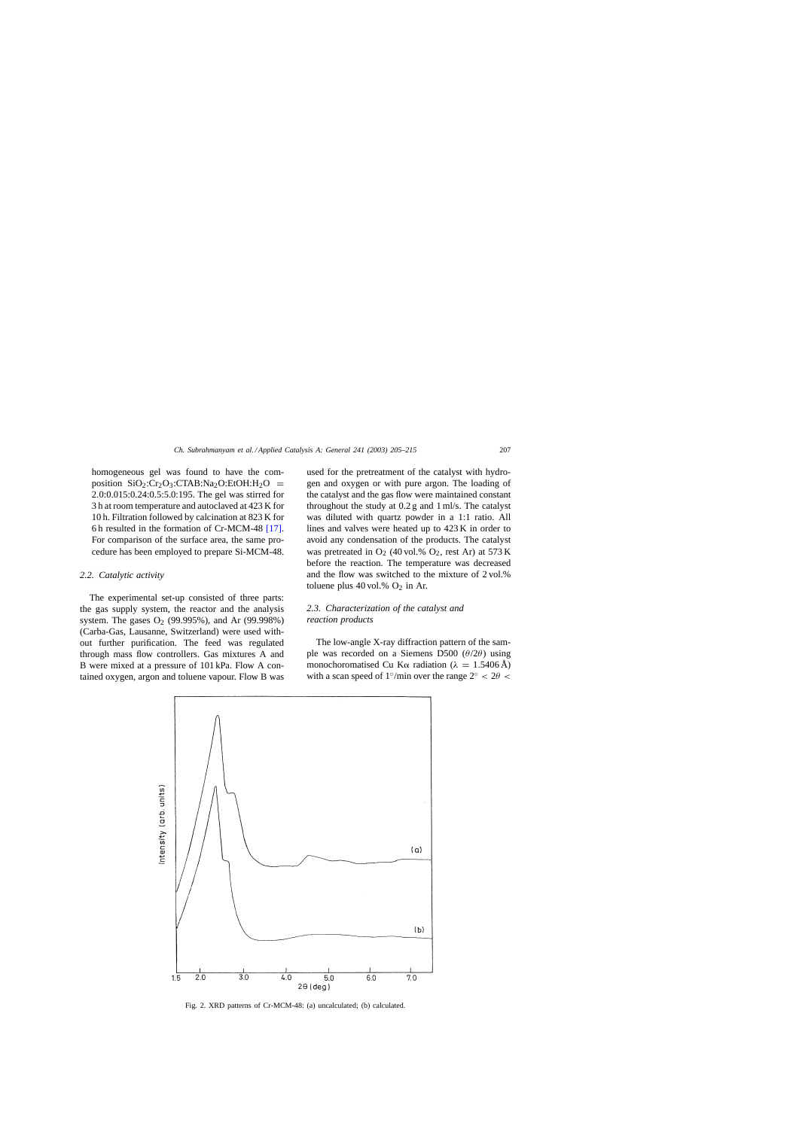<span id="page-2-0"></span>homogeneous gel was found to have the composition  $SiO_2:Cr_2O_3:CTAB:Na_2O:EtOH:H_2O =$ 2.0:0.015:0.24:0.5:5.0:195. The gel was stirred for 3 h at room temperature and autoclaved at 423 K for 10 h. Filtration followed by calcination at 823 K for 6 h resulted in the formation of Cr-MCM-48 [\[17\].](#page-10-0) For comparison of the surface area, the same procedure has been employed to prepare Si-MCM-48.

#### *2.2. Catalytic activity*

The experimental set-up consisted of three parts: the gas supply system, the reactor and the analysis system. The gases  $O_2$  (99.995%), and Ar (99.998%) (Carba-Gas, Lausanne, Switzerland) were used without further purification. The feed was regulated through mass flow controllers. Gas mixtures A and B were mixed at a pressure of 101 kPa. Flow A contained oxygen, argon and toluene vapour. Flow B was used for the pretreatment of the catalyst with hydrogen and oxygen or with pure argon. The loading of the catalyst and the gas flow were maintained constant throughout the study at 0.2 g and 1 ml/s. The catalyst was diluted with quartz powder in a 1:1 ratio. All lines and valves were heated up to 423 K in order to avoid any condensation of the products. The catalyst was pretreated in  $O_2$  (40 vol.%  $O_2$ , rest Ar) at 573 K before the reaction. The temperature was decreased and the flow was switched to the mixture of 2 vol.% toluene plus 40 vol.%  $O_2$  in Ar.

## *2.3. Characterization of the catalyst and reaction products*

The low-angle X-ray diffraction pattern of the sample was recorded on a Siemens D500  $(\theta/2\theta)$  using monochoromatised Cu K $\alpha$  radiation ( $\lambda = 1.5406 \text{ Å}$ ) with a scan speed of 1°/min over the range  $2° < 2\theta$  <



Fig. 2. XRD patterns of Cr-MCM-48: (a) uncalculated; (b) calculated.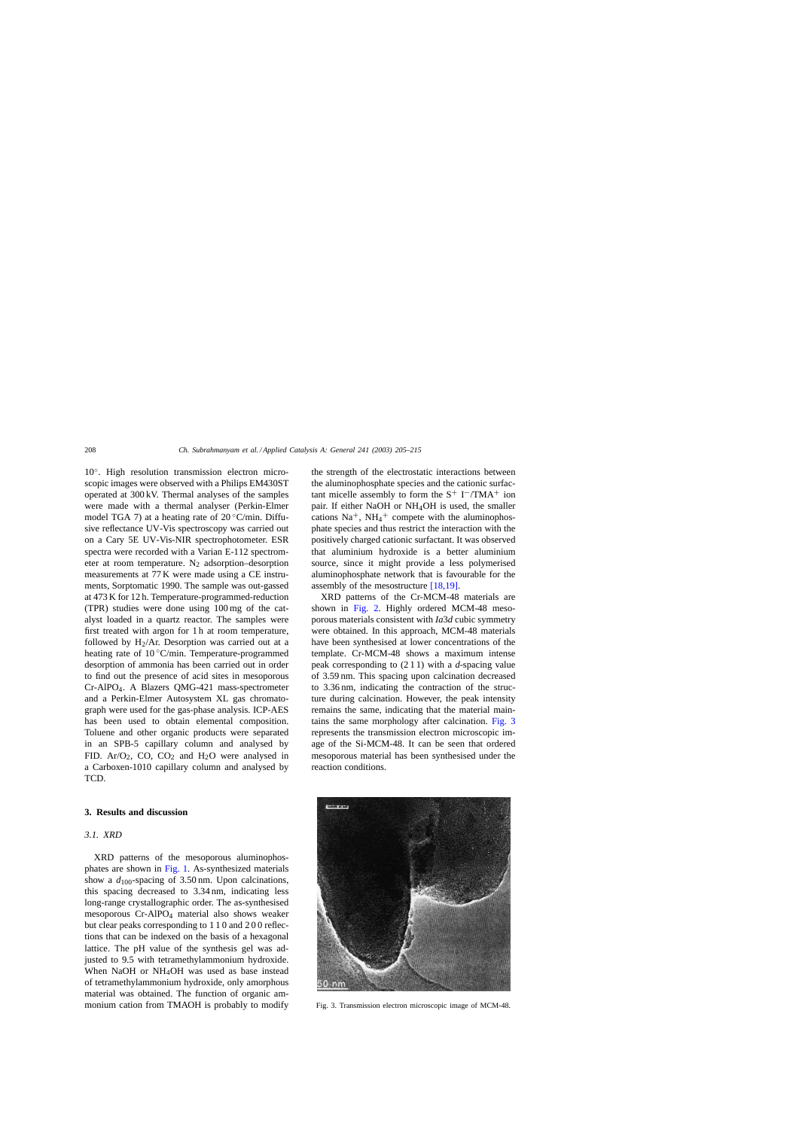10◦. High resolution transmission electron microscopic images were observed with a Philips EM430ST operated at 300 kV. Thermal analyses of the samples were made with a thermal analyser (Perkin-Elmer model TGA 7) at a heating rate of  $20^{\circ}$ C/min. Diffusive reflectance UV-Vis spectroscopy was carried out on a Cary 5E UV-Vis-NIR spectrophotometer. ESR spectra were recorded with a Varian E-112 spectrometer at room temperature.  $N_2$  adsorption–desorption measurements at 77 K were made using a CE instruments, Sorptomatic 1990. The sample was out-gassed at 473 K for 12 h. Temperature-programmed-reduction (TPR) studies were done using 100 mg of the catalyst loaded in a quartz reactor. The samples were first treated with argon for 1 h at room temperature, followed by  $H_2/Ar$ . Desorption was carried out at a heating rate of 10 ℃/min. Temperature-programmed desorption of ammonia has been carried out in order to find out the presence of acid sites in mesoporous Cr-AlPO4. A Blazers QMG-421 mass-spectrometer and a Perkin-Elmer Autosystem XL gas chromatograph were used for the gas-phase analysis. ICP-AES has been used to obtain elemental composition. Toluene and other organic products were separated in an SPB-5 capillary column and analysed by FID. Ar/O<sub>2</sub>, CO, CO<sub>2</sub> and H<sub>2</sub>O were analysed in a Carboxen-1010 capillary column and analysed by TCD.

#### **3. Results and discussion**

# *3.1. XRD*

XRD patterns of the mesoporous aluminophosphates are shown in [Fig. 1.](#page-1-0) As-synthesized materials show a  $d_{100}$ -spacing of 3.50 nm. Upon calcinations, this spacing decreased to 3.34 nm, indicating less long-range crystallographic order. The as-synthesised mesoporous Cr-AlPO4 material also shows weaker but clear peaks corresponding to 1 1 0 and 2 0 0 reflections that can be indexed on the basis of a hexagonal lattice. The pH value of the synthesis gel was adjusted to 9.5 with tetramethylammonium hydroxide. When NaOH or NH<sub>4</sub>OH was used as base instead of tetramethylammonium hydroxide, only amorphous material was obtained. The function of organic ammonium cation from TMAOH is probably to modify the strength of the electrostatic interactions between the aluminophosphate species and the cationic surfactant micelle assembly to form the  $S^+$  I<sup>-</sup>/TMA<sup>+</sup> ion pair. If either NaOH or NH4OH is used, the smaller cations  $Na<sup>+</sup>$ ,  $NH<sub>4</sub><sup>+</sup>$  compete with the aluminophosphate species and thus restrict the interaction with the positively charged cationic surfactant. It was observed that aluminium hydroxide is a better aluminium source, since it might provide a less polymerised aluminophosphate network that is favourable for the assembly of the mesostructure [\[18,19\].](#page-10-0)

XRD patterns of the Cr-MCM-48 materials are shown in [Fig. 2.](#page-2-0) Highly ordered MCM-48 mesoporous materials consistent with *Ia*3*d* cubic symmetry were obtained. In this approach, MCM-48 materials have been synthesised at lower concentrations of the template. Cr-MCM-48 shows a maximum intense peak corresponding to (2 1 1) with a *d*-spacing value of 3.59 nm. This spacing upon calcination decreased to 3.36 nm, indicating the contraction of the structure during calcination. However, the peak intensity remains the same, indicating that the material maintains the same morphology after calcination. Fig. 3 represents the transmission electron microscopic image of the Si-MCM-48. It can be seen that ordered mesoporous material has been synthesised under the reaction conditions.



Fig. 3. Transmission electron microscopic image of MCM-48.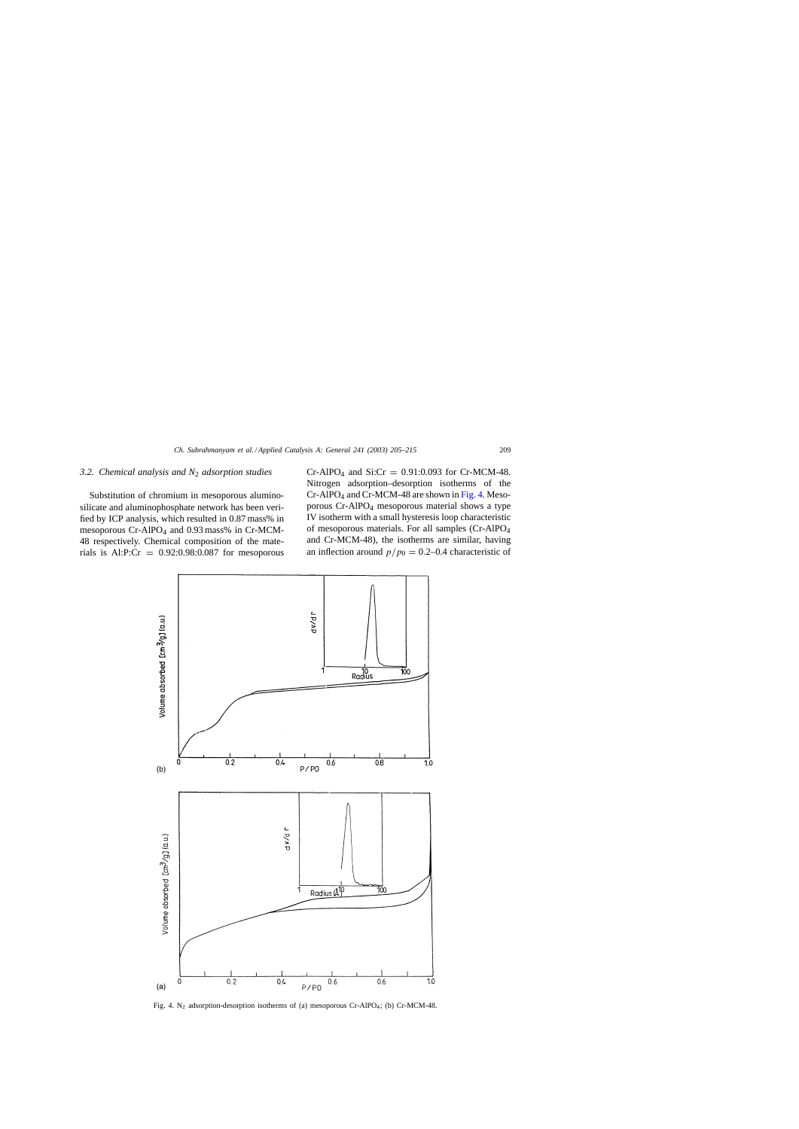## *3.2. Chemical analysis and N*<sup>2</sup> *adsorption studies*

Substitution of chromium in mesoporous aluminosilicate and aluminophosphate network has been verified by ICP analysis, which resulted in 0.87 mass% in mesoporous Cr-AlPO<sub>4</sub> and 0.93 mass% in Cr-MCM-48 respectively. Chemical composition of the materials is Al:P: $Cr = 0.92$ :0.98:0.087 for mesoporous  $Cr-AIPO_4$  and  $Si:Cr = 0.91:0.093$  for  $Cr-MCM-48$ . Nitrogen adsorption–desorption isotherms of the  $Cr-AIPO<sub>4</sub>$  and  $Cr-MCM-48$  are shown in Fig. 4. Mesoporous Cr-AlPO4 mesoporous material shows a type IV isotherm with a small hysteresis loop characteristic of mesoporous materials. For all samples (Cr-AlPO4 and Cr-MCM-48), the isotherms are similar, having an inflection around  $p/p_0 = 0.2{\text -}0.4$  characteristic of



Fig. 4. N2 adsorption-desorption isotherms of (a) mesoporous Cr-AlPO4; (b) Cr-MCM-48.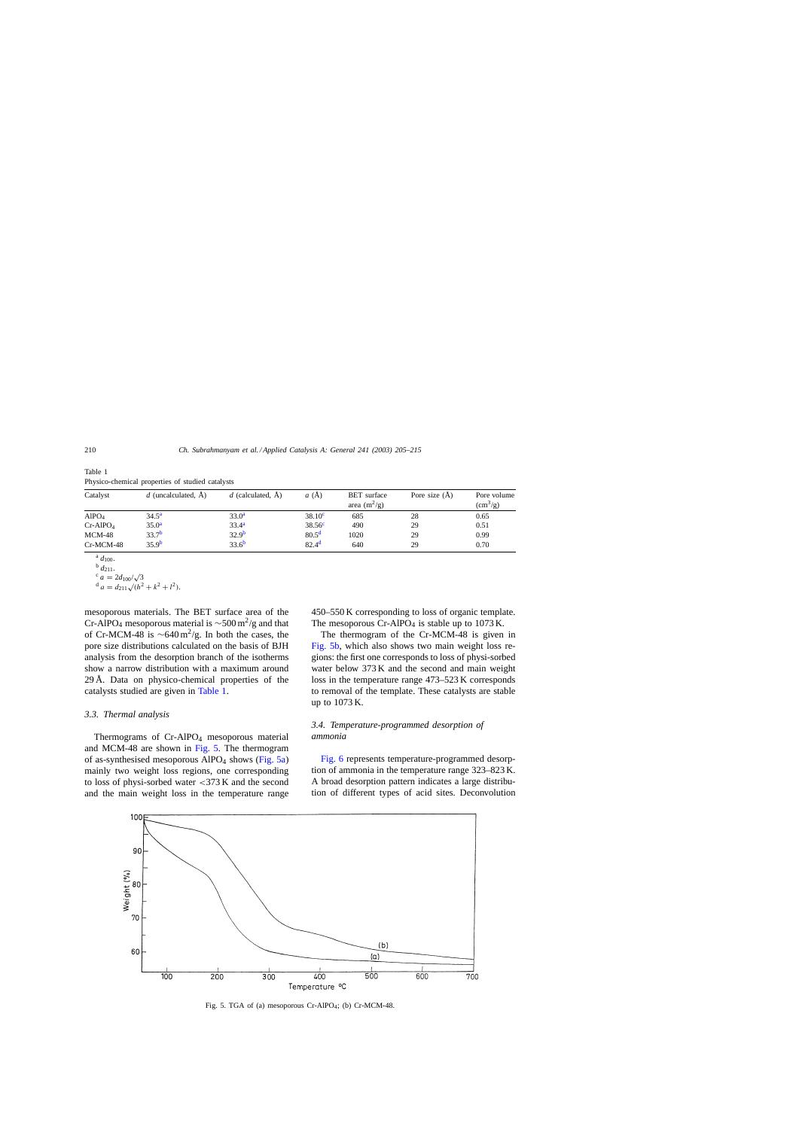| Catalyst          | $d$ (uncalculated, $\dot{A}$ ) | d (calculated, $\dot{A}$ ) | a(A)               | <b>BET</b> surface<br>area $(m^2/g)$ | Pore size $(\AA)$ | Pore volume<br>$\rm (cm^3/g)$ |
|-------------------|--------------------------------|----------------------------|--------------------|--------------------------------------|-------------------|-------------------------------|
| AlPO <sub>4</sub> | $34.5^{\rm a}$                 | $33.0^a$                   | 38.10 <sup>c</sup> | 685                                  | 28                | 0.65                          |
| $Cr-AlPO4$        | 35.0 <sup>a</sup>              | $33.4^a$                   | 38.56 <sup>c</sup> | 490                                  | 29                | 0.51                          |
| $MCM-48$          | 33.7 <sup>b</sup>              | 32.9 <sup>b</sup>          | 80.5 <sup>d</sup>  | 1020                                 | 29                | 0.99                          |
| Cr-MCM-48         | 35.9 <sup>b</sup>              | $33.6^{b}$                 | 82.4 <sup>d</sup>  | 640                                  | 29                | 0.70                          |

Table 1 Physico-chemical properties of studied catalysts

 $d a = d_{211}\sqrt{(h^2 + k^2 + l^2)}$ .

mesoporous materials. The BET surface area of the Cr-AlPO<sub>4</sub> mesoporous material is  $\sim$ 500 m<sup>2</sup>/g and that of Cr-MCM-48 is  $\sim$ 640 m<sup>2</sup>/g. In both the cases, the pore size distributions calculated on the basis of BJH analysis from the desorption branch of the isotherms show a narrow distribution with a maximum around 29 Å. Data on physico-chemical properties of the catalysts studied are given in Table 1.

#### *3.3. Thermal analysis*

Thermograms of Cr-AlPO<sub>4</sub> mesoporous material and MCM-48 are shown in Fig. 5. The thermogram of as-synthesised mesoporous  $AIPO<sub>4</sub>$  shows (Fig. 5a) mainly two weight loss regions, one corresponding to loss of physi-sorbed water  $\langle 373 \text{ K} \rangle$  and the second and the main weight loss in the temperature range 450–550 K corresponding to loss of organic template. The mesoporous Cr-AlPO<sub>4</sub> is stable up to  $1073$  K.

The thermogram of the Cr-MCM-48 is given in Fig. 5b, which also shows two main weight loss regions: the first one corresponds to loss of physi-sorbed water below 373 K and the second and main weight loss in the temperature range 473–523 K corresponds to removal of the template. These catalysts are stable up to 1073 K.

# *3.4. Temperature-programmed desorption of ammonia*

[Fig. 6](#page-6-0) represents temperature-programmed desorption of ammonia in the temperature range 323–823 K. A broad desorption pattern indicates a large distribution of different types of acid sites. Deconvolution



Fig. 5. TGA of (a) mesoporous Cr-AlPO4; (b) Cr-MCM-48.

 $a^{a} d_{100}.$ <br>  $b^{b} d_{211}.$ <br>  $c^{a} = 2d_{100}/\sqrt{3}$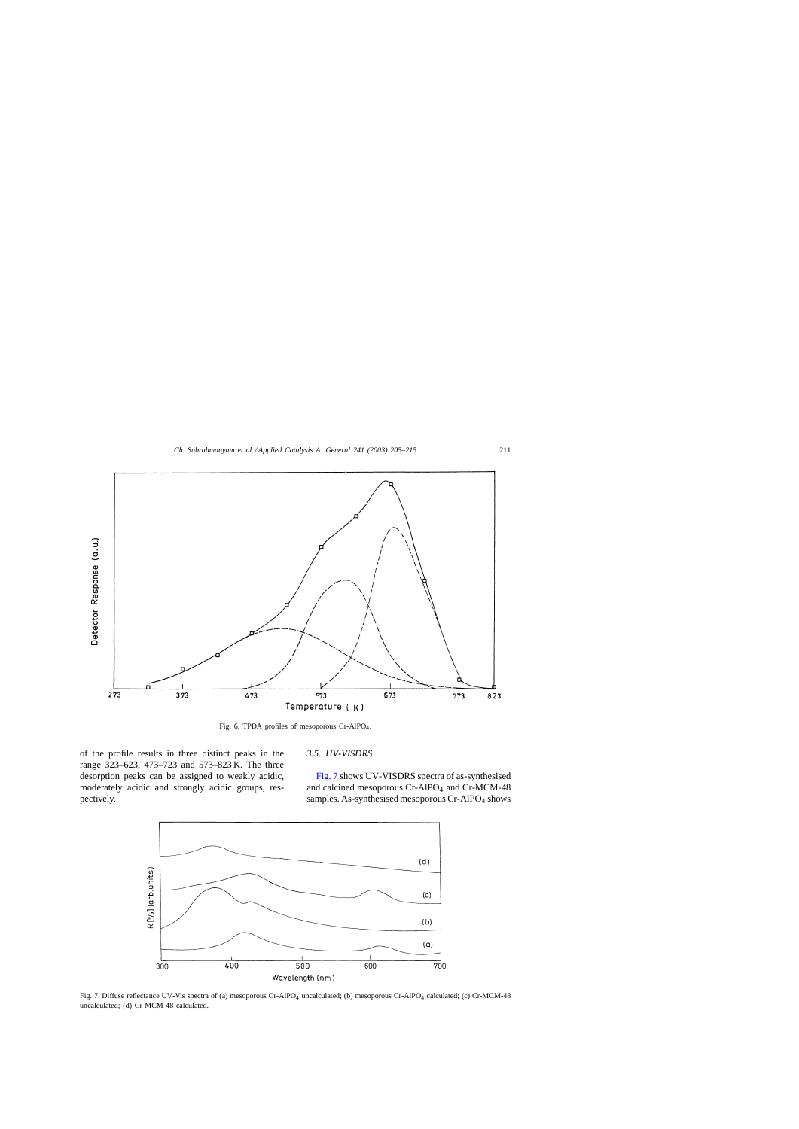<span id="page-6-0"></span>

Fig. 6. TPDA profiles of mesoporous Cr-AlPO4.

of the profile results in three distinct peaks in the range 323–623, 473–723 and 573–823 K. The three desorption peaks can be assigned to weakly acidic, moderately acidic and strongly acidic groups, respectively.

#### *3.5. UV-VISDRS*

Fig. 7 shows UV-VISDRS spectra of as-synthesised and calcined mesoporous Cr-AlPO<sub>4</sub> and Cr-MCM-48 samples. As-synthesised mesoporous Cr-AlPO<sub>4</sub> shows

![](_page_6_Figure_6.jpeg)

Fig. 7. Diffuse reflectance UV-Vis spectra of (a) mesoporous Cr-AlPO4 uncalculated; (b) mesoporous Cr-AlPO4 calculated; (c) Cr-MCM-48 uncalculated; (d) Cr-MCM-48 calculated.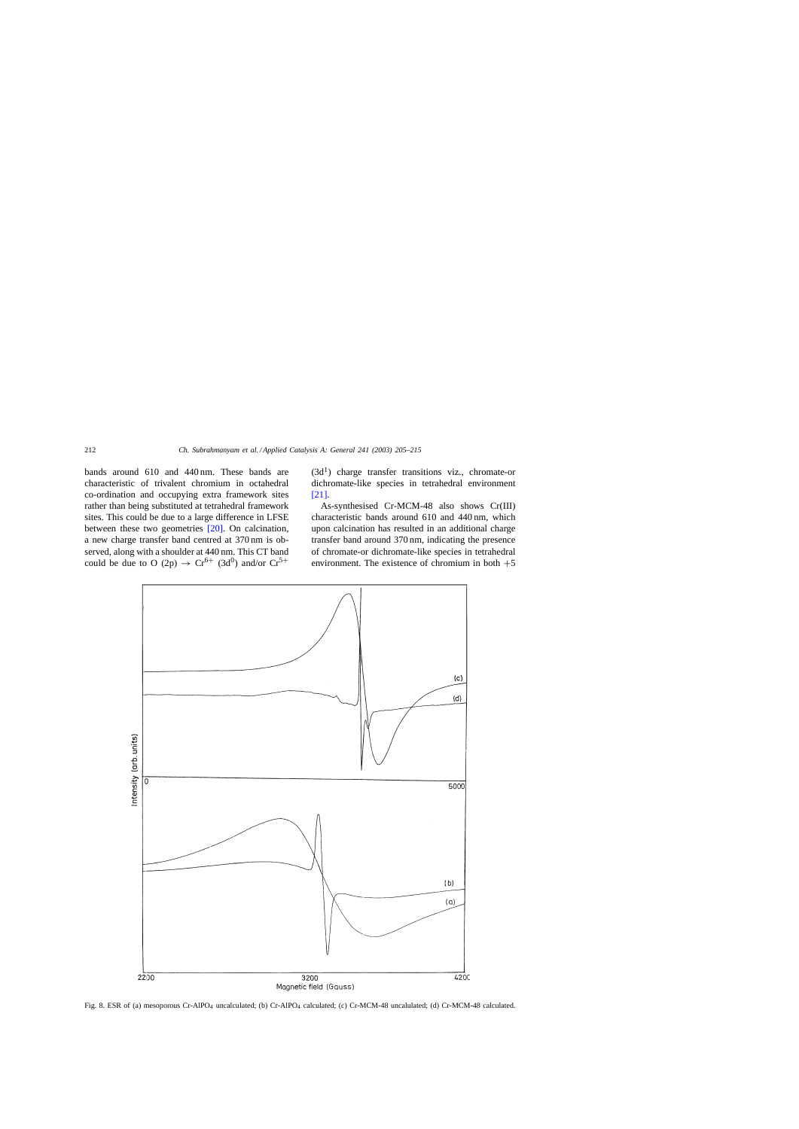<span id="page-7-0"></span>bands around 610 and 440 nm. These bands are characteristic of trivalent chromium in octahedral co-ordination and occupying extra framework sites rather than being substituted at tetrahedral framework sites. This could be due to a large difference in LFSE between these two geometries [\[20\].](#page-10-0) On calcination, a new charge transfer band centred at 370 nm is observed, along with a shoulder at 440 nm. This CT band could be due to O (2p)  $\rightarrow$  Cr<sup>6+</sup> (3d<sup>0</sup>) and/or Cr<sup>5+</sup>

 $(3d<sup>1</sup>)$  charge transfer transitions viz., chromate-or dichromate-like species in tetrahedral environment [\[21\].](#page-10-0)

As-synthesised Cr-MCM-48 also shows Cr(III) characteristic bands around 610 and 440 nm, which upon calcination has resulted in an additional charge transfer band around 370 nm, indicating the presence of chromate-or dichromate-like species in tetrahedral environment. The existence of chromium in both  $+5$ 

![](_page_7_Figure_4.jpeg)

Fig. 8. ESR of (a) mesoporous Cr-AlPO4 uncalculated; (b) Cr-AlPO4 calculated; (c) Cr-MCM-48 uncalulated; (d) Cr-MCM-48 calculated.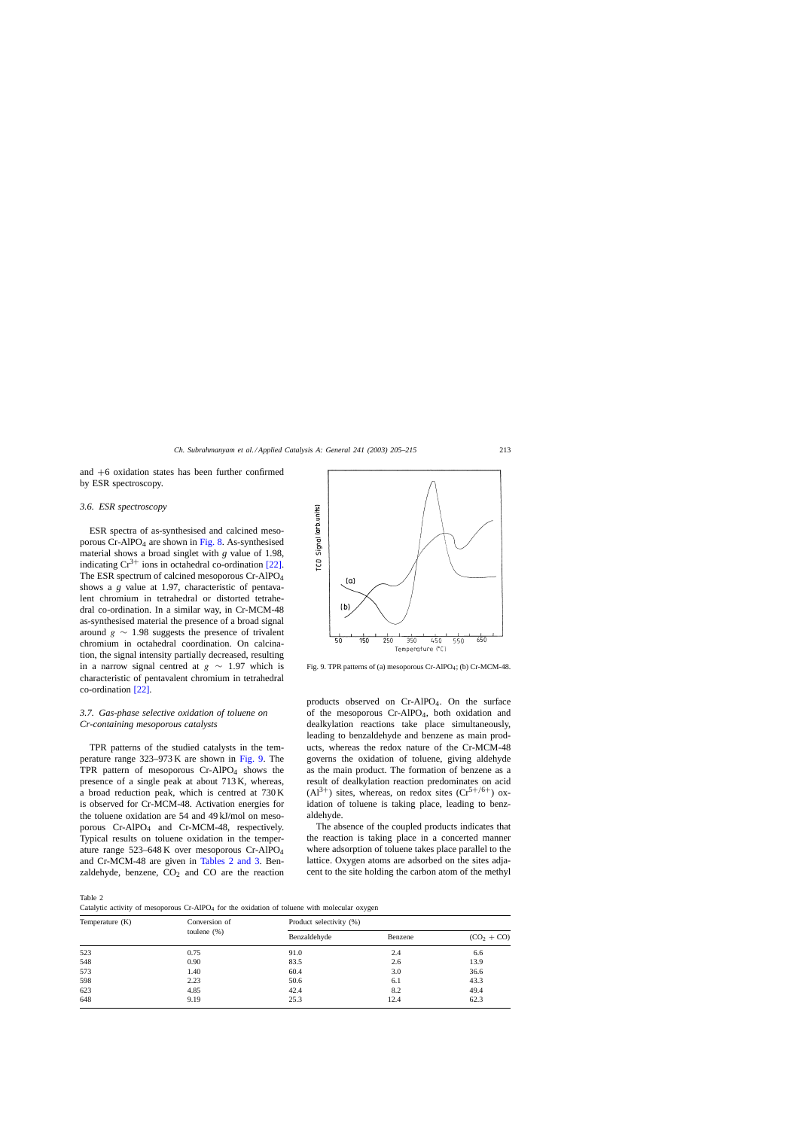and +6 oxidation states has been further confirmed by ESR spectroscopy.

#### *3.6. ESR spectroscopy*

ESR spectra of as-synthesised and calcined meso-porous Cr-AlPO<sub>4</sub> are shown in [Fig. 8.](#page-7-0) As-synthesised material shows a broad singlet with *g* value of 1.98, indicating  $Cr^{3+}$  ions in octahedral co-ordination [\[22\].](#page-10-0) The ESR spectrum of calcined mesoporous Cr-AlPO4 shows a *g* value at 1.97, characteristic of pentavalent chromium in tetrahedral or distorted tetrahedral co-ordination. In a similar way, in Cr-MCM-48 as-synthesised material the presence of a broad signal around  $g \sim 1.98$  suggests the presence of trivalent chromium in octahedral coordination. On calcination, the signal intensity partially decreased, resulting in a narrow signal centred at  $g \sim 1.97$  which is characteristic of pentavalent chromium in tetrahedral co-ordination [\[22\].](#page-10-0)

## *3.7. Gas-phase selective oxidation of toluene on Cr-containing mesoporous catalysts*

TPR patterns of the studied catalysts in the temperature range 323–973 K are shown in Fig. 9. The TPR pattern of mesoporous  $Cr-AIPO<sub>4</sub>$  shows the presence of a single peak at about 713 K, whereas, a broad reduction peak, which is centred at 730 K is observed for Cr-MCM-48. Activation energies for the toluene oxidation are 54 and 49 kJ/mol on mesoporous Cr-AlPO4 and Cr-MCM-48, respectively. Typical results on toluene oxidation in the temperature range 523–648 K over mesoporous Cr-AlPO4 and Cr-MCM-48 are given in Tables 2 and 3. Benzaldehyde, benzene,  $CO<sub>2</sub>$  and  $CO$  are the reaction

![](_page_8_Figure_6.jpeg)

Fig. 9. TPR patterns of (a) mesoporous  $Cr-AIPO<sub>4</sub>$ ; (b)  $Cr-MCM-48$ .

products observed on Cr-AlPO4. On the surface of the mesoporous Cr-AlPO4, both oxidation and dealkylation reactions take place simultaneously, leading to benzaldehyde and benzene as main products, whereas the redox nature of the Cr-MCM-48 governs the oxidation of toluene, giving aldehyde as the main product. The formation of benzene as a result of dealkylation reaction predominates on acid  $(A1^{3+})$  sites, whereas, on redox sites  $(Cr^{5+/6+})$  oxidation of toluene is taking place, leading to benzaldehyde.

The absence of the coupled products indicates that the reaction is taking place in a concerted manner where adsorption of toluene takes place parallel to the lattice. Oxygen atoms are adsorbed on the sites adjacent to the site holding the carbon atom of the methyl

Table 2

Catalytic activity of mesoporous Cr-AlPO<sub>4</sub> for the oxidation of toluene with molecular oxygen

| Temperature (K) | Conversion of  | Product selectivity (%) |         |              |  |
|-----------------|----------------|-------------------------|---------|--------------|--|
|                 | toulene $(\%)$ | Benzaldehyde            | Benzene | $(CO2 + CO)$ |  |
| 523             | 0.75           | 91.0                    | 2.4     | 6.6          |  |
| 548             | 0.90           | 83.5                    | 2.6     | 13.9         |  |
| 573             | 1.40           | 60.4                    | 3.0     | 36.6         |  |
| 598             | 2.23           | 50.6                    | 6.1     | 43.3         |  |
| 623             | 4.85           | 42.4                    | 8.2     | 49.4         |  |
| 648             | 9.19           | 25.3                    | 12.4    | 62.3         |  |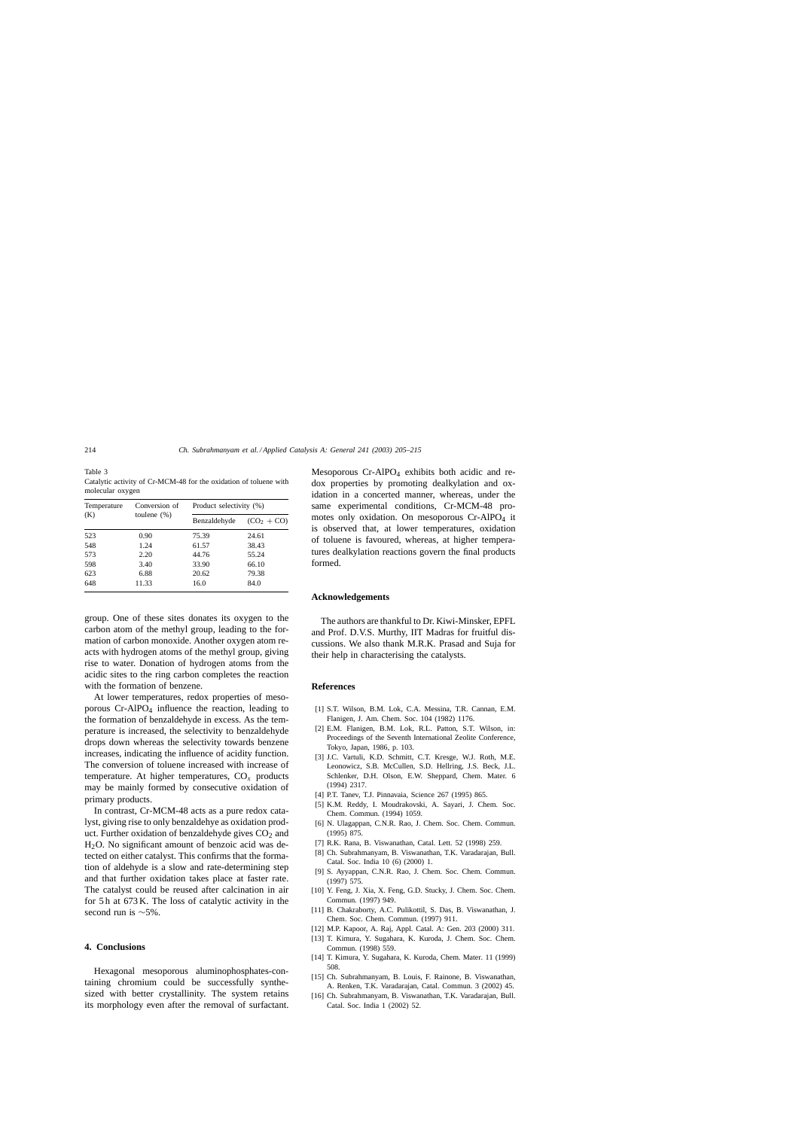<span id="page-9-0"></span>Table 3 Catalytic activity of Cr-MCM-48 for the oxidation of toluene with molecular oxygen

| Temperature | Conversion of<br>toulene $(\%)$ | Product selectivity (%) |              |  |
|-------------|---------------------------------|-------------------------|--------------|--|
| (K)         |                                 | Benzaldehyde            | $(CO2 + CO)$ |  |
| 523         | 0.90                            | 75.39                   | 24.61        |  |
| 548         | 1.24                            | 61.57                   | 38.43        |  |
| 573         | 2.20                            | 44.76                   | 55.24        |  |
| 598         | 3.40                            | 33.90                   | 66.10        |  |
| 623         | 6.88                            | 20.62                   | 79.38        |  |
| 648         | 11.33                           | 16.0                    | 84.0         |  |

group. One of these sites donates its oxygen to the carbon atom of the methyl group, leading to the formation of carbon monoxide. Another oxygen atom reacts with hydrogen atoms of the methyl group, giving rise to water. Donation of hydrogen atoms from the acidic sites to the ring carbon completes the reaction with the formation of benzene.

At lower temperatures, redox properties of mesoporous  $Cr-AIPO<sub>4</sub>$  influence the reaction, leading to the formation of benzaldehyde in excess. As the temperature is increased, the selectivity to benzaldehyde drops down whereas the selectivity towards benzene increases, indicating the influence of acidity function. The conversion of toluene increased with increase of temperature. At higher temperatures,  $CO<sub>x</sub>$  products may be mainly formed by consecutive oxidation of primary products.

In contrast, Cr-MCM-48 acts as a pure redox catalyst, giving rise to only benzaldehye as oxidation product. Further oxidation of benzaldehyde gives  $CO<sub>2</sub>$  and  $H<sub>2</sub>O$ . No significant amount of benzoic acid was detected on either catalyst. This confirms that the formation of aldehyde is a slow and rate-determining step and that further oxidation takes place at faster rate. The catalyst could be reused after calcination in air for 5 h at 673 K. The loss of catalytic activity in the second run is ∼5%.

### **4. Conclusions**

Hexagonal mesoporous aluminophosphates-containing chromium could be successfully synthesized with better crystallinity. The system retains its morphology even after the removal of surfactant. Mesoporous  $Cr-AIPO<sub>4</sub>$  exhibits both acidic and redox properties by promoting dealkylation and oxidation in a concerted manner, whereas, under the same experimental conditions, Cr-MCM-48 promotes only oxidation. On mesoporous Cr-AlPO<sub>4</sub> it is observed that, at lower temperatures, oxidation of toluene is favoured, whereas, at higher temperatures dealkylation reactions govern the final products formed.

## **Acknowledgements**

The authors are thankful to Dr. Kiwi-Minsker, EPFL and Prof. D.V.S. Murthy, IIT Madras for fruitful discussions. We also thank M.R.K. Prasad and Suja for their help in characterising the catalysts.

## **References**

- [1] S.T. Wilson, B.M. Lok, C.A. Messina, T.R. Cannan, E.M. Flanigen, J. Am. Chem. Soc. 104 (1982) 1176.
- [2] E.M. Flanigen, B.M. Lok, R.L. Patton, S.T. Wilson, in: Proceedings of the Seventh International Zeolite Conference, Tokyo, Japan, 1986, p. 103.
- [3] J.C. Vartuli, K.D. Schmitt, C.T. Kresge, W.J. Roth, M.E. Leonowicz, S.B. McCullen, S.D. Hellring, J.S. Beck, J.L. Schlenker, D.H. Olson, E.W. Sheppard, Chem. Mater. 6 (1994) 2317.
- [4] P.T. Tanev, T.J. Pinnavaia, Science 267 (1995) 865.
- [5] K.M. Reddy, I. Moudrakovski, A. Sayari, J. Chem. Soc. Chem. Commun. (1994) 1059.
- [6] N. Ulagappan, C.N.R. Rao, J. Chem. Soc. Chem. Commun. (1995) 875.
- [7] R.K. Rana, B. Viswanathan, Catal. Lett. 52 (1998) 259.
- [8] Ch. Subrahmanyam, B. Viswanathan, T.K. Varadarajan, Bull. Catal. Soc. India 10 (6) (2000) 1.
- [9] S. Ayyappan, C.N.R. Rao, J. Chem. Soc. Chem. Commun. (1997) 575.
- [10] Y. Feng, J. Xia, X. Feng, G.D. Stucky, J. Chem. Soc. Chem. Commun*.* (1997) 949.
- [11] B. Chakraborty, A.C. Pulikottil, S. Das, B. Viswanathan, J. Chem. Soc. Chem. Commun. (1997) 911.
- [12] M.P. Kapoor, A. Raj, Appl. Catal. A: Gen. 203 (2000) 311.
- [13] T. Kimura, Y. Sugahara, K. Kuroda, J. Chem. Soc. Chem. Commun. (1998) 559.
- [14] T. Kimura, Y. Sugahara, K. Kuroda, Chem. Mater*.* 11 (1999) 508.
- [15] Ch. Subrahmanyam, B. Louis, F. Rainone, B. Viswanathan, A. Renken, T.K. Varadarajan, Catal. Commun. 3 (2002) 45.
- [16] Ch. Subrahmanyam, B. Viswanathan, T.K. Varadarajan, Bull. Catal. Soc. India 1 (2002) 52.